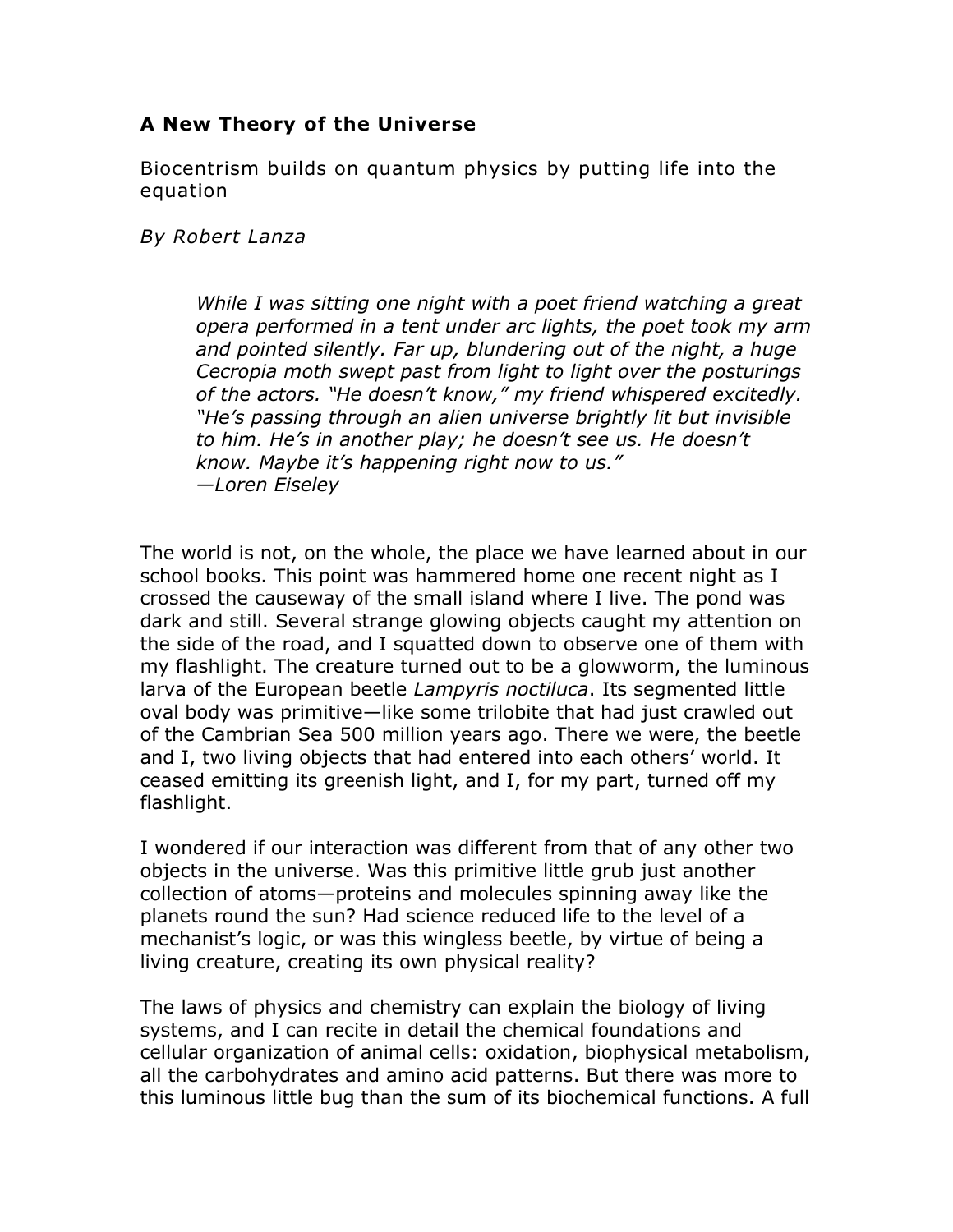## **A New Theory of the Universe**

Biocentrism builds on quantum physics by putting life into the equation

*By Robert Lanza*

*While I was sitting one night with a poet friend watching a great opera performed in a tent under arc lights, the poet took my arm and pointed silently. Far up, blundering out of the night, a huge Cecropia moth swept past from light to light over the posturings of the actors. "He doesn't know," my friend whispered excitedly. "He's passing through an alien universe brightly lit but invisible to him. He's in another play; he doesn't see us. He doesn't know. Maybe it's happening right now to us." —Loren Eiseley*

The world is not, on the whole, the place we have learned about in our school books. This point was hammered home one recent night as I crossed the causeway of the small island where I live. The pond was dark and still. Several strange glowing objects caught my attention on the side of the road, and I squatted down to observe one of them with my flashlight. The creature turned out to be a glowworm, the luminous larva of the European beetle *Lampyris noctiluca*. Its segmented little oval body was primitive—like some trilobite that had just crawled out of the Cambrian Sea 500 million years ago. There we were, the beetle and I, two living objects that had entered into each others' world. It ceased emitting its greenish light, and I, for my part, turned off my flashlight.

I wondered if our interaction was different from that of any other two objects in the universe. Was this primitive little grub just another collection of atoms—proteins and molecules spinning away like the planets round the sun? Had science reduced life to the level of a mechanist's logic, or was this wingless beetle, by virtue of being a living creature, creating its own physical reality?

The laws of physics and chemistry can explain the biology of living systems, and I can recite in detail the chemical foundations and cellular organization of animal cells: oxidation, biophysical metabolism, all the carbohydrates and amino acid patterns. But there was more to this luminous little bug than the sum of its biochemical functions. A full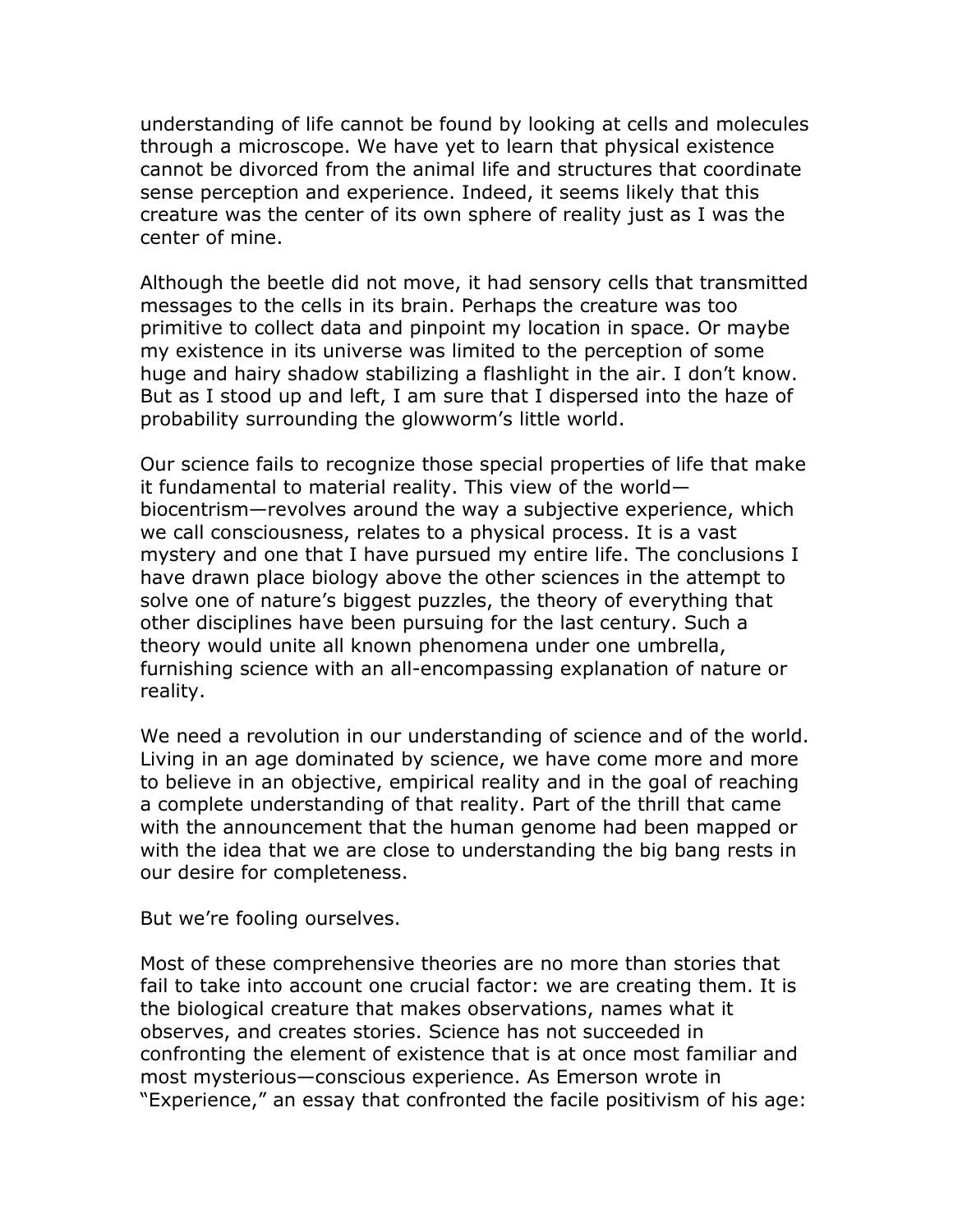understanding of life cannot be found by looking at cells and molecules through a microscope. We have yet to learn that physical existence cannot be divorced from the animal life and structures that coordinate sense perception and experience. Indeed, it seems likely that this creature was the center of its own sphere of reality just as I was the center of mine.

Although the beetle did not move, it had sensory cells that transmitted messages to the cells in its brain. Perhaps the creature was too primitive to collect data and pinpoint my location in space. Or maybe my existence in its universe was limited to the perception of some huge and hairy shadow stabilizing a flashlight in the air. I don't know. But as I stood up and left, I am sure that I dispersed into the haze of probability surrounding the glowworm's little world.

Our science fails to recognize those special properties of life that make it fundamental to material reality. This view of the world biocentrism—revolves around the way a subjective experience, which we call consciousness, relates to a physical process. It is a vast mystery and one that I have pursued my entire life. The conclusions I have drawn place biology above the other sciences in the attempt to solve one of nature's biggest puzzles, the theory of everything that other disciplines have been pursuing for the last century. Such a theory would unite all known phenomena under one umbrella, furnishing science with an all-encompassing explanation of nature or reality.

We need a revolution in our understanding of science and of the world. Living in an age dominated by science, we have come more and more to believe in an objective, empirical reality and in the goal of reaching a complete understanding of that reality. Part of the thrill that came with the announcement that the human genome had been mapped or with the idea that we are close to understanding the big bang rests in our desire for completeness.

But we're fooling ourselves.

Most of these comprehensive theories are no more than stories that fail to take into account one crucial factor: we are creating them. It is the biological creature that makes observations, names what it observes, and creates stories. Science has not succeeded in confronting the element of existence that is at once most familiar and most mysterious—conscious experience. As Emerson wrote in "Experience," an essay that confronted the facile positivism of his age: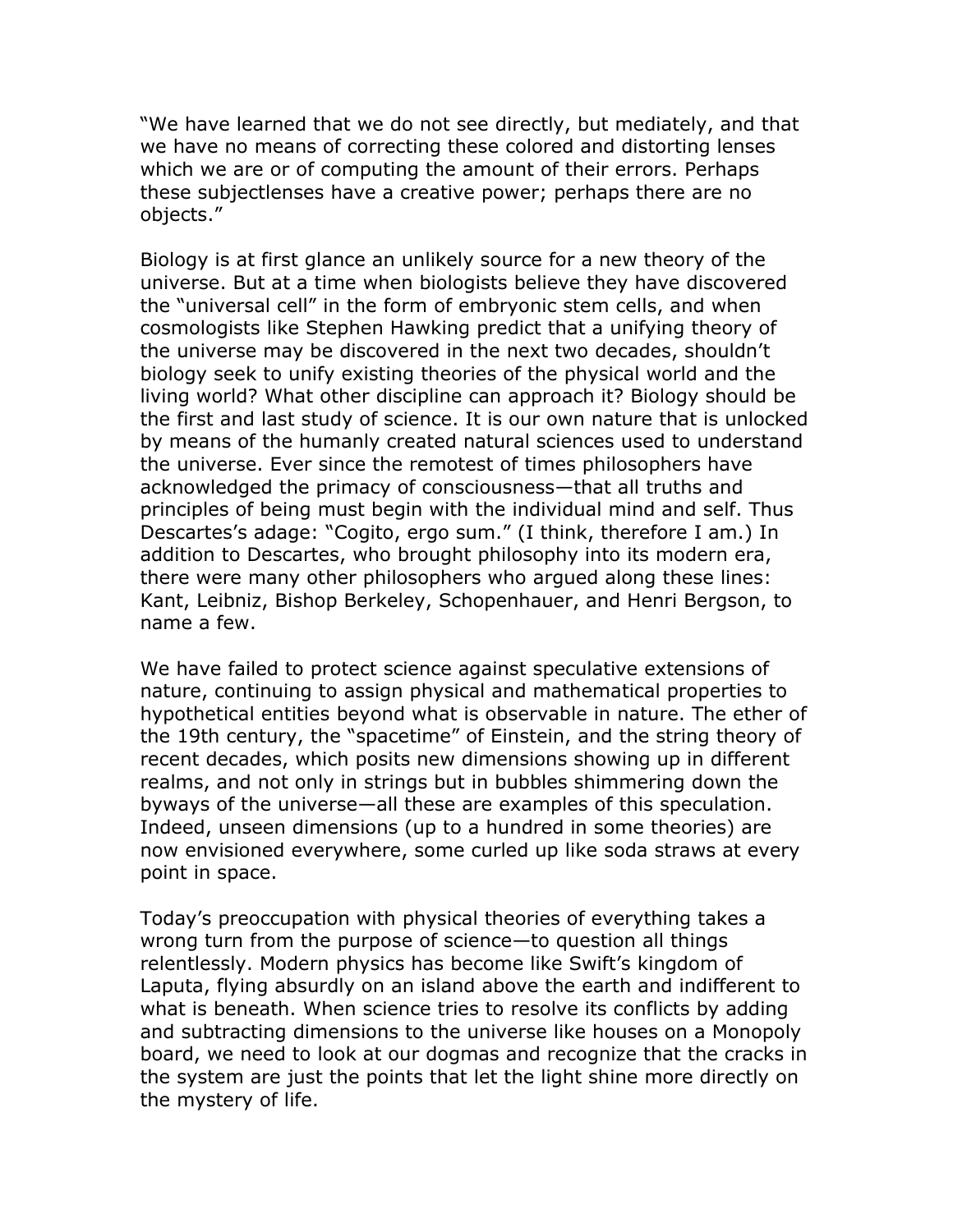"We have learned that we do not see directly, but mediately, and that we have no means of correcting these colored and distorting lenses which we are or of computing the amount of their errors. Perhaps these subjectlenses have a creative power; perhaps there are no objects."

Biology is at first glance an unlikely source for a new theory of the universe. But at a time when biologists believe they have discovered the "universal cell" in the form of embryonic stem cells, and when cosmologists like Stephen Hawking predict that a unifying theory of the universe may be discovered in the next two decades, shouldn't biology seek to unify existing theories of the physical world and the living world? What other discipline can approach it? Biology should be the first and last study of science. It is our own nature that is unlocked by means of the humanly created natural sciences used to understand the universe. Ever since the remotest of times philosophers have acknowledged the primacy of consciousness—that all truths and principles of being must begin with the individual mind and self. Thus Descartes's adage: "Cogito, ergo sum." (I think, therefore I am.) In addition to Descartes, who brought philosophy into its modern era, there were many other philosophers who argued along these lines: Kant, Leibniz, Bishop Berkeley, Schopenhauer, and Henri Bergson, to name a few.

We have failed to protect science against speculative extensions of nature, continuing to assign physical and mathematical properties to hypothetical entities beyond what is observable in nature. The ether of the 19th century, the "spacetime" of Einstein, and the string theory of recent decades, which posits new dimensions showing up in different realms, and not only in strings but in bubbles shimmering down the byways of the universe—all these are examples of this speculation. Indeed, unseen dimensions (up to a hundred in some theories) are now envisioned everywhere, some curled up like soda straws at every point in space.

Today's preoccupation with physical theories of everything takes a wrong turn from the purpose of science—to question all things relentlessly. Modern physics has become like Swift's kingdom of Laputa, flying absurdly on an island above the earth and indifferent to what is beneath. When science tries to resolve its conflicts by adding and subtracting dimensions to the universe like houses on a Monopoly board, we need to look at our dogmas and recognize that the cracks in the system are just the points that let the light shine more directly on the mystery of life.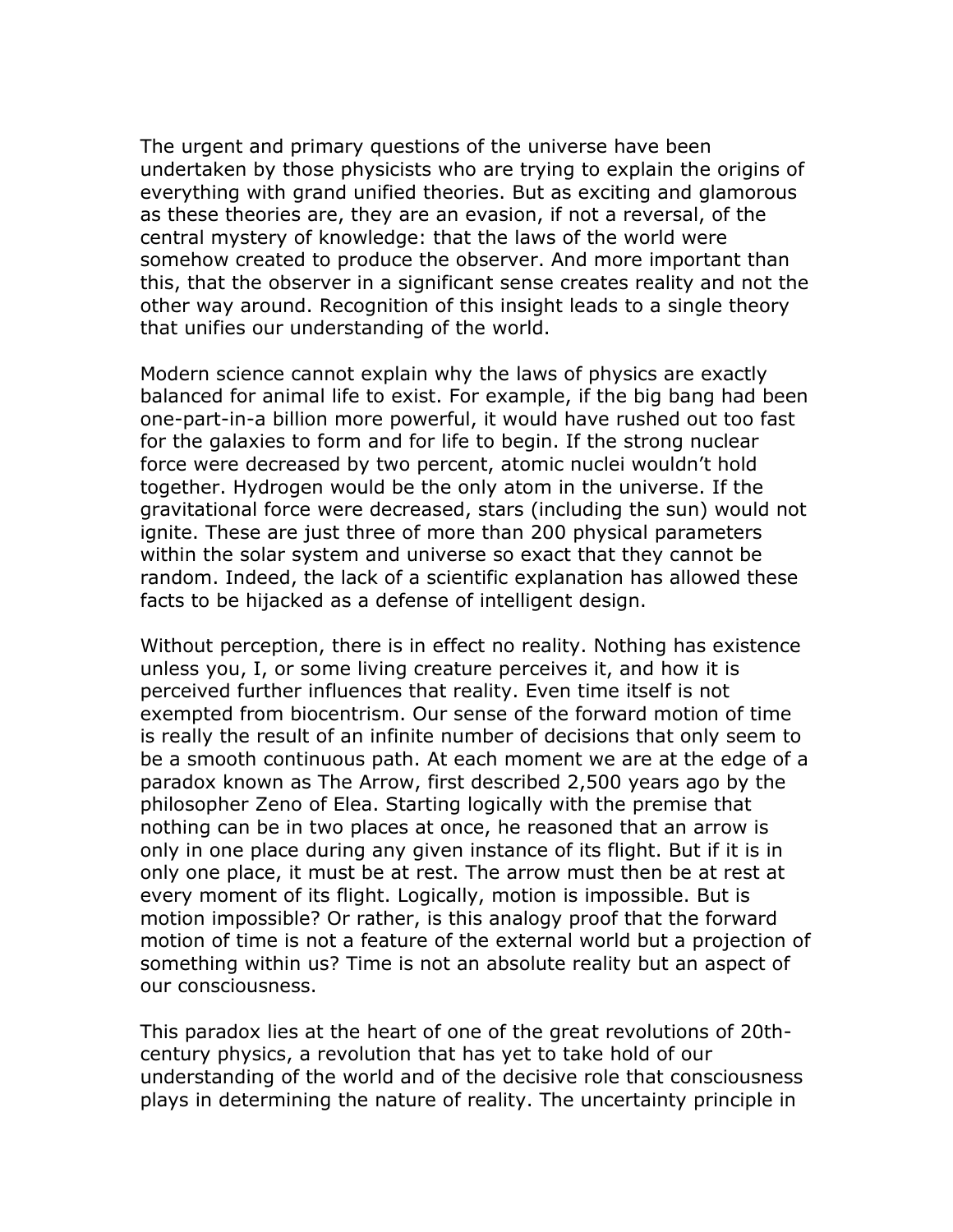The urgent and primary questions of the universe have been undertaken by those physicists who are trying to explain the origins of everything with grand unified theories. But as exciting and glamorous as these theories are, they are an evasion, if not a reversal, of the central mystery of knowledge: that the laws of the world were somehow created to produce the observer. And more important than this, that the observer in a significant sense creates reality and not the other way around. Recognition of this insight leads to a single theory that unifies our understanding of the world.

Modern science cannot explain why the laws of physics are exactly balanced for animal life to exist. For example, if the big bang had been one-part-in-a billion more powerful, it would have rushed out too fast for the galaxies to form and for life to begin. If the strong nuclear force were decreased by two percent, atomic nuclei wouldn't hold together. Hydrogen would be the only atom in the universe. If the gravitational force were decreased, stars (including the sun) would not ignite. These are just three of more than 200 physical parameters within the solar system and universe so exact that they cannot be random. Indeed, the lack of a scientific explanation has allowed these facts to be hijacked as a defense of intelligent design.

Without perception, there is in effect no reality. Nothing has existence unless you, I, or some living creature perceives it, and how it is perceived further influences that reality. Even time itself is not exempted from biocentrism. Our sense of the forward motion of time is really the result of an infinite number of decisions that only seem to be a smooth continuous path. At each moment we are at the edge of a paradox known as The Arrow, first described 2,500 years ago by the philosopher Zeno of Elea. Starting logically with the premise that nothing can be in two places at once, he reasoned that an arrow is only in one place during any given instance of its flight. But if it is in only one place, it must be at rest. The arrow must then be at rest at every moment of its flight. Logically, motion is impossible. But is motion impossible? Or rather, is this analogy proof that the forward motion of time is not a feature of the external world but a projection of something within us? Time is not an absolute reality but an aspect of our consciousness.

This paradox lies at the heart of one of the great revolutions of 20thcentury physics, a revolution that has yet to take hold of our understanding of the world and of the decisive role that consciousness plays in determining the nature of reality. The uncertainty principle in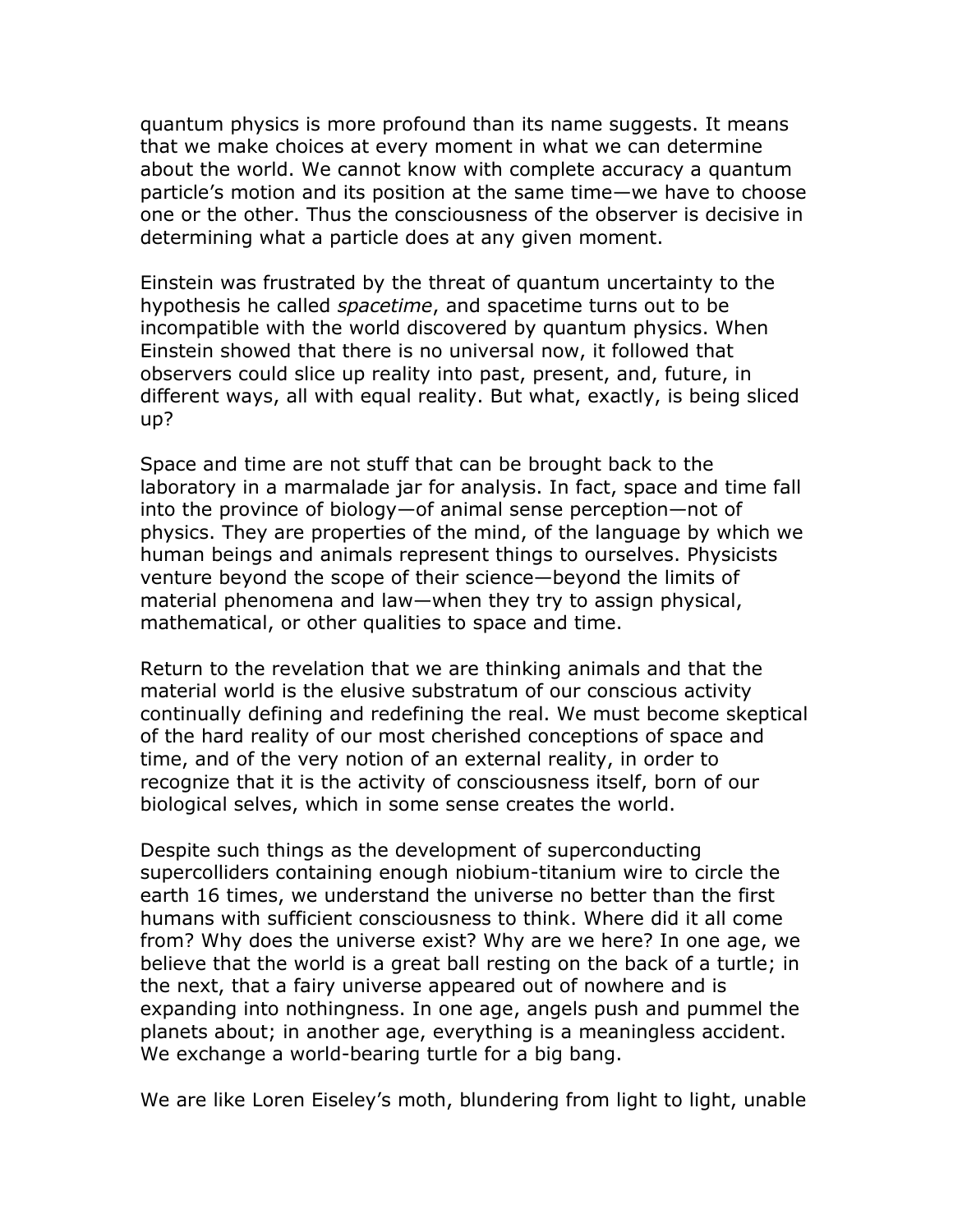quantum physics is more profound than its name suggests. It means that we make choices at every moment in what we can determine about the world. We cannot know with complete accuracy a quantum particle's motion and its position at the same time—we have to choose one or the other. Thus the consciousness of the observer is decisive in determining what a particle does at any given moment.

Einstein was frustrated by the threat of quantum uncertainty to the hypothesis he called *spacetime*, and spacetime turns out to be incompatible with the world discovered by quantum physics. When Einstein showed that there is no universal now, it followed that observers could slice up reality into past, present, and, future, in different ways, all with equal reality. But what, exactly, is being sliced up?

Space and time are not stuff that can be brought back to the laboratory in a marmalade jar for analysis. In fact, space and time fall into the province of biology—of animal sense perception—not of physics. They are properties of the mind, of the language by which we human beings and animals represent things to ourselves. Physicists venture beyond the scope of their science—beyond the limits of material phenomena and law—when they try to assign physical, mathematical, or other qualities to space and time.

Return to the revelation that we are thinking animals and that the material world is the elusive substratum of our conscious activity continually defining and redefining the real. We must become skeptical of the hard reality of our most cherished conceptions of space and time, and of the very notion of an external reality, in order to recognize that it is the activity of consciousness itself, born of our biological selves, which in some sense creates the world.

Despite such things as the development of superconducting supercolliders containing enough niobium-titanium wire to circle the earth 16 times, we understand the universe no better than the first humans with sufficient consciousness to think. Where did it all come from? Why does the universe exist? Why are we here? In one age, we believe that the world is a great ball resting on the back of a turtle; in the next, that a fairy universe appeared out of nowhere and is expanding into nothingness. In one age, angels push and pummel the planets about; in another age, everything is a meaningless accident. We exchange a world-bearing turtle for a big bang.

We are like Loren Eiseley's moth, blundering from light to light, unable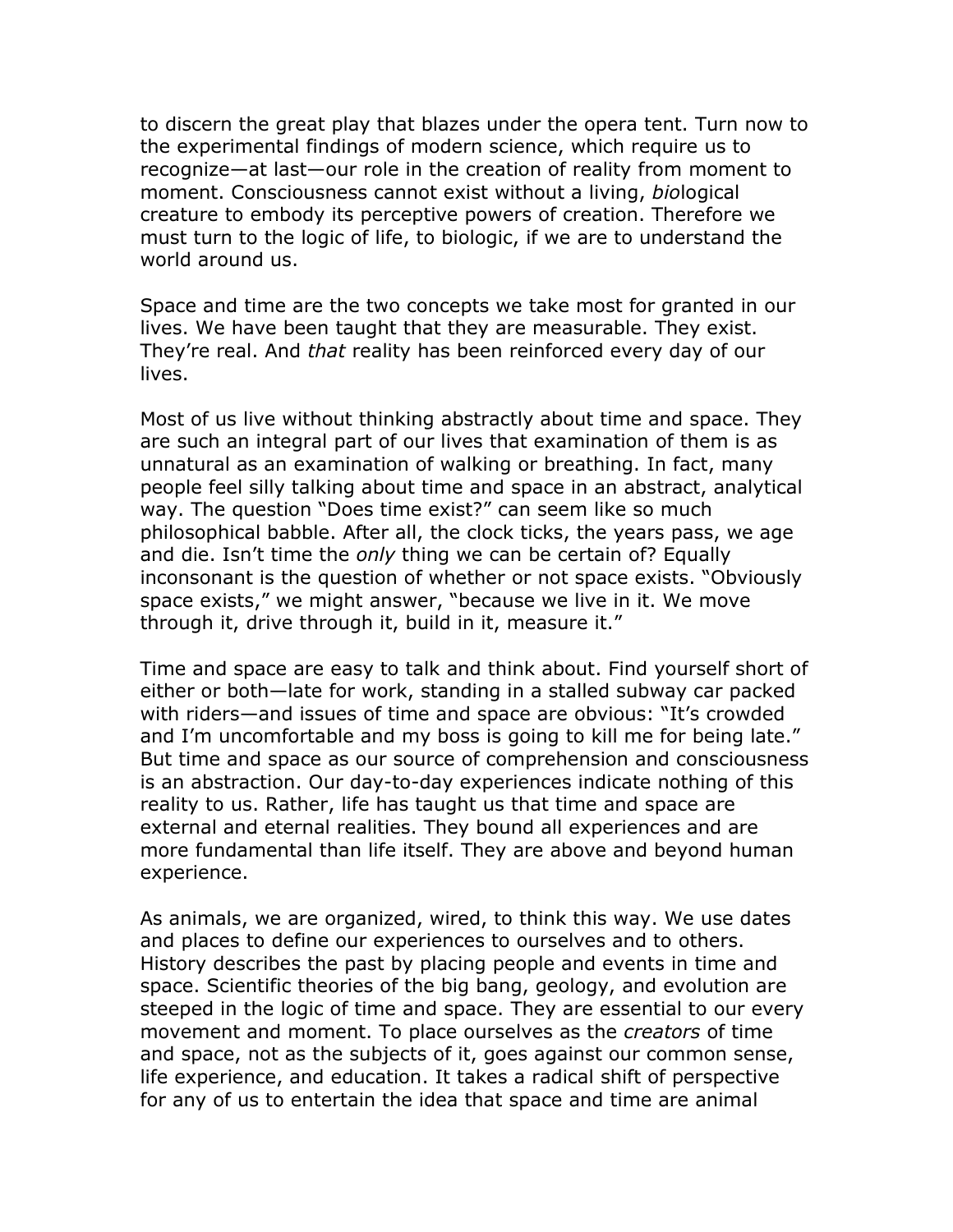to discern the great play that blazes under the opera tent. Turn now to the experimental findings of modern science, which require us to recognize—at last—our role in the creation of reality from moment to moment. Consciousness cannot exist without a living, *bio*logical creature to embody its perceptive powers of creation. Therefore we must turn to the logic of life, to biologic, if we are to understand the world around us.

Space and time are the two concepts we take most for granted in our lives. We have been taught that they are measurable. They exist. They're real. And *that* reality has been reinforced every day of our lives.

Most of us live without thinking abstractly about time and space. They are such an integral part of our lives that examination of them is as unnatural as an examination of walking or breathing. In fact, many people feel silly talking about time and space in an abstract, analytical way. The question "Does time exist?" can seem like so much philosophical babble. After all, the clock ticks, the years pass, we age and die. Isn't time the *only* thing we can be certain of? Equally inconsonant is the question of whether or not space exists. "Obviously space exists," we might answer, "because we live in it. We move through it, drive through it, build in it, measure it."

Time and space are easy to talk and think about. Find yourself short of either or both—late for work, standing in a stalled subway car packed with riders—and issues of time and space are obvious: "It's crowded and I'm uncomfortable and my boss is going to kill me for being late." But time and space as our source of comprehension and consciousness is an abstraction. Our day-to-day experiences indicate nothing of this reality to us. Rather, life has taught us that time and space are external and eternal realities. They bound all experiences and are more fundamental than life itself. They are above and beyond human experience.

As animals, we are organized, wired, to think this way. We use dates and places to define our experiences to ourselves and to others. History describes the past by placing people and events in time and space. Scientific theories of the big bang, geology, and evolution are steeped in the logic of time and space. They are essential to our every movement and moment. To place ourselves as the *creators* of time and space, not as the subjects of it, goes against our common sense, life experience, and education. It takes a radical shift of perspective for any of us to entertain the idea that space and time are animal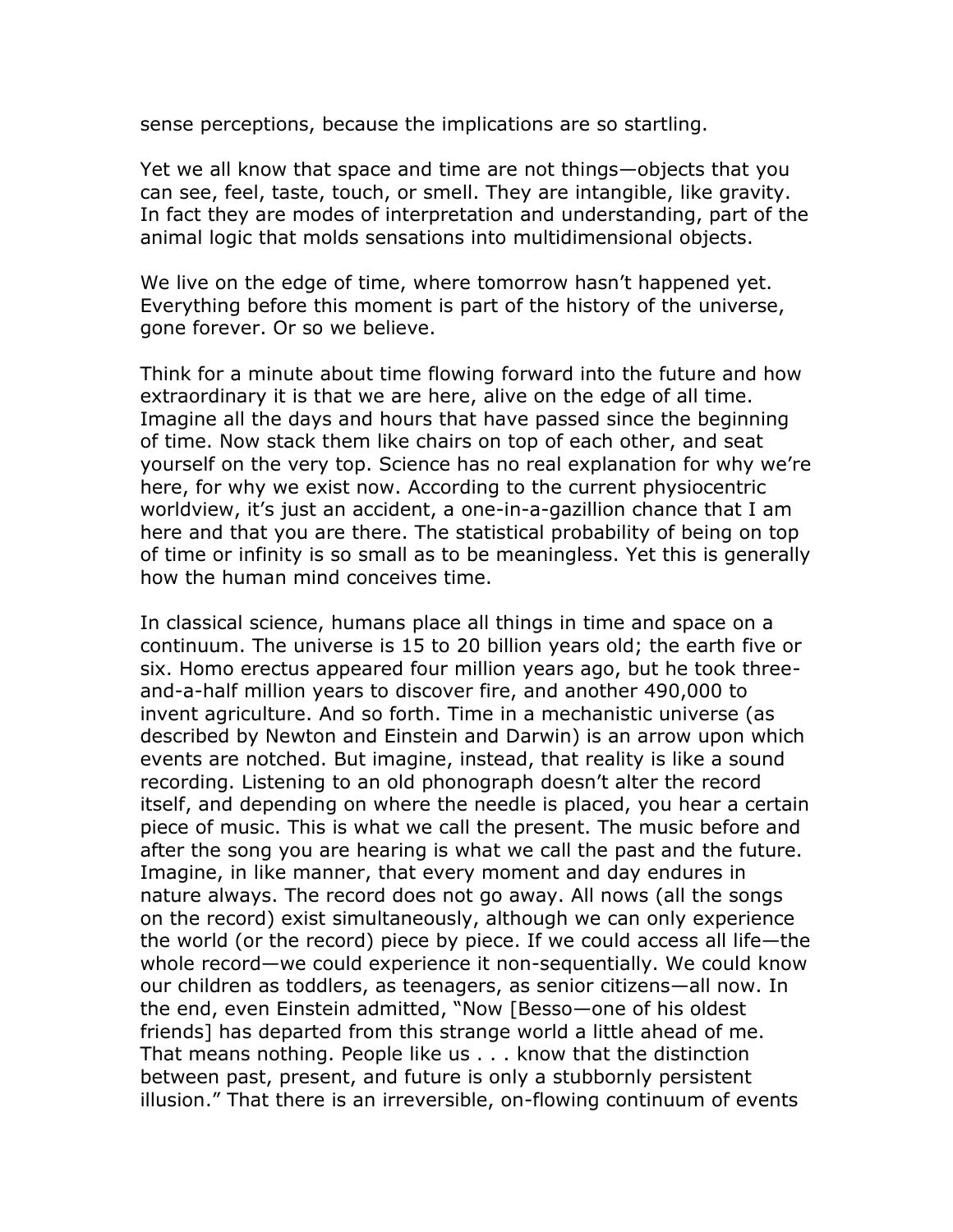sense perceptions, because the implications are so startling.

Yet we all know that space and time are not things—objects that you can see, feel, taste, touch, or smell. They are intangible, like gravity. In fact they are modes of interpretation and understanding, part of the animal logic that molds sensations into multidimensional objects.

We live on the edge of time, where tomorrow hasn't happened yet. Everything before this moment is part of the history of the universe, gone forever. Or so we believe.

Think for a minute about time flowing forward into the future and how extraordinary it is that we are here, alive on the edge of all time. Imagine all the days and hours that have passed since the beginning of time. Now stack them like chairs on top of each other, and seat yourself on the very top. Science has no real explanation for why we're here, for why we exist now. According to the current physiocentric worldview, it's just an accident, a one-in-a-gazillion chance that I am here and that you are there. The statistical probability of being on top of time or infinity is so small as to be meaningless. Yet this is generally how the human mind conceives time.

In classical science, humans place all things in time and space on a continuum. The universe is 15 to 20 billion years old; the earth five or six. Homo erectus appeared four million years ago, but he took threeand-a-half million years to discover fire, and another 490,000 to invent agriculture. And so forth. Time in a mechanistic universe (as described by Newton and Einstein and Darwin) is an arrow upon which events are notched. But imagine, instead, that reality is like a sound recording. Listening to an old phonograph doesn't alter the record itself, and depending on where the needle is placed, you hear a certain piece of music. This is what we call the present. The music before and after the song you are hearing is what we call the past and the future. Imagine, in like manner, that every moment and day endures in nature always. The record does not go away. All nows (all the songs on the record) exist simultaneously, although we can only experience the world (or the record) piece by piece. If we could access all life—the whole record—we could experience it non-sequentially. We could know our children as toddlers, as teenagers, as senior citizens—all now. In the end, even Einstein admitted, "Now [Besso—one of his oldest friends] has departed from this strange world a little ahead of me. That means nothing. People like us . . . know that the distinction between past, present, and future is only a stubbornly persistent illusion." That there is an irreversible, on-flowing continuum of events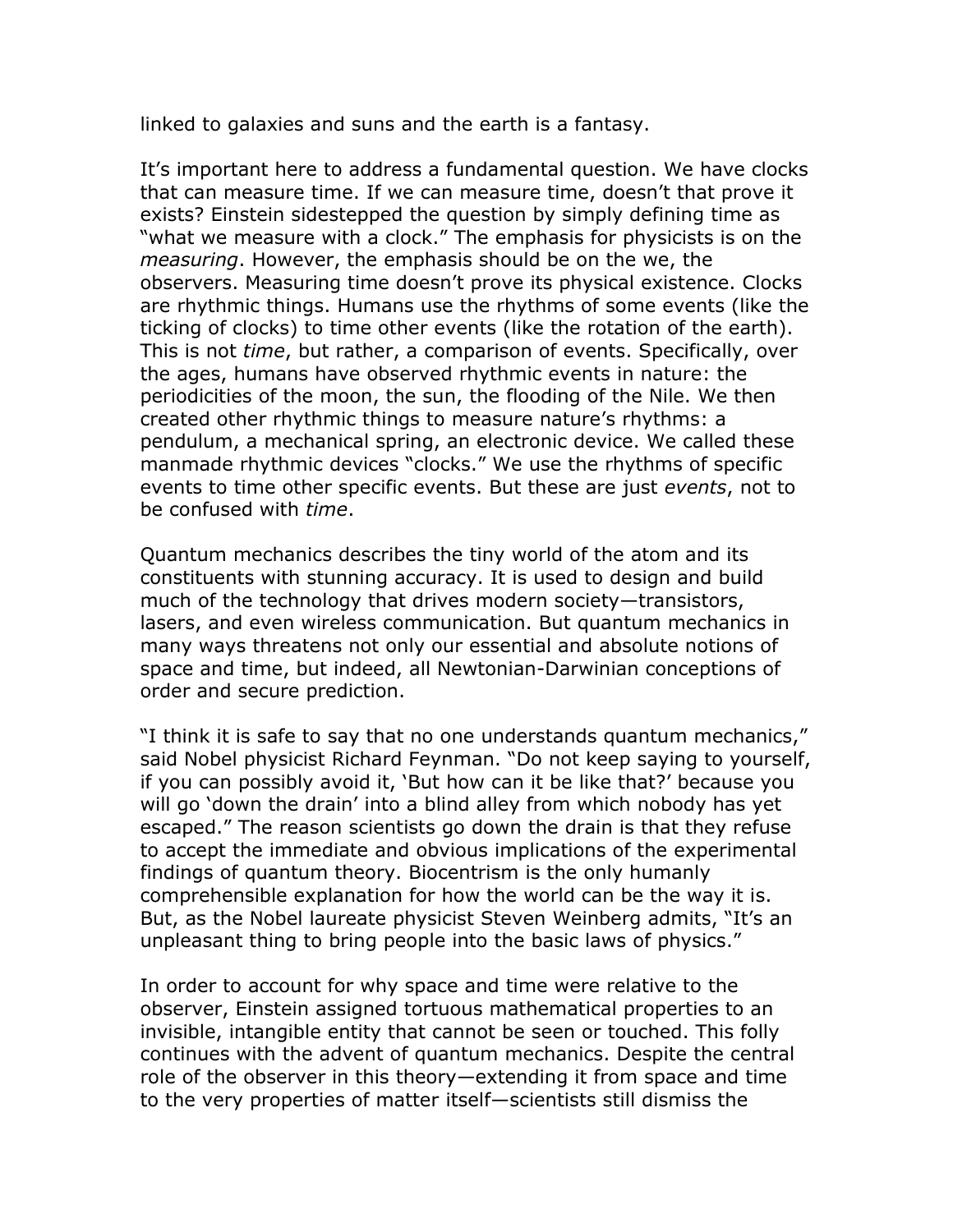linked to galaxies and suns and the earth is a fantasy.

It's important here to address a fundamental question. We have clocks that can measure time. If we can measure time, doesn't that prove it exists? Einstein sidestepped the question by simply defining time as "what we measure with a clock." The emphasis for physicists is on the *measuring*. However, the emphasis should be on the we, the observers. Measuring time doesn't prove its physical existence. Clocks are rhythmic things. Humans use the rhythms of some events (like the ticking of clocks) to time other events (like the rotation of the earth). This is not *time*, but rather, a comparison of events. Specifically, over the ages, humans have observed rhythmic events in nature: the periodicities of the moon, the sun, the flooding of the Nile. We then created other rhythmic things to measure nature's rhythms: a pendulum, a mechanical spring, an electronic device. We called these manmade rhythmic devices "clocks." We use the rhythms of specific events to time other specific events. But these are just *events*, not to be confused with *time*.

Quantum mechanics describes the tiny world of the atom and its constituents with stunning accuracy. It is used to design and build much of the technology that drives modern society—transistors, lasers, and even wireless communication. But quantum mechanics in many ways threatens not only our essential and absolute notions of space and time, but indeed, all Newtonian-Darwinian conceptions of order and secure prediction.

"I think it is safe to say that no one understands quantum mechanics," said Nobel physicist Richard Feynman. "Do not keep saying to yourself, if you can possibly avoid it, 'But how can it be like that?' because you will go 'down the drain' into a blind alley from which nobody has yet escaped." The reason scientists go down the drain is that they refuse to accept the immediate and obvious implications of the experimental findings of quantum theory. Biocentrism is the only humanly comprehensible explanation for how the world can be the way it is. But, as the Nobel laureate physicist Steven Weinberg admits, "It's an unpleasant thing to bring people into the basic laws of physics."

In order to account for why space and time were relative to the observer, Einstein assigned tortuous mathematical properties to an invisible, intangible entity that cannot be seen or touched. This folly continues with the advent of quantum mechanics. Despite the central role of the observer in this theory—extending it from space and time to the very properties of matter itself—scientists still dismiss the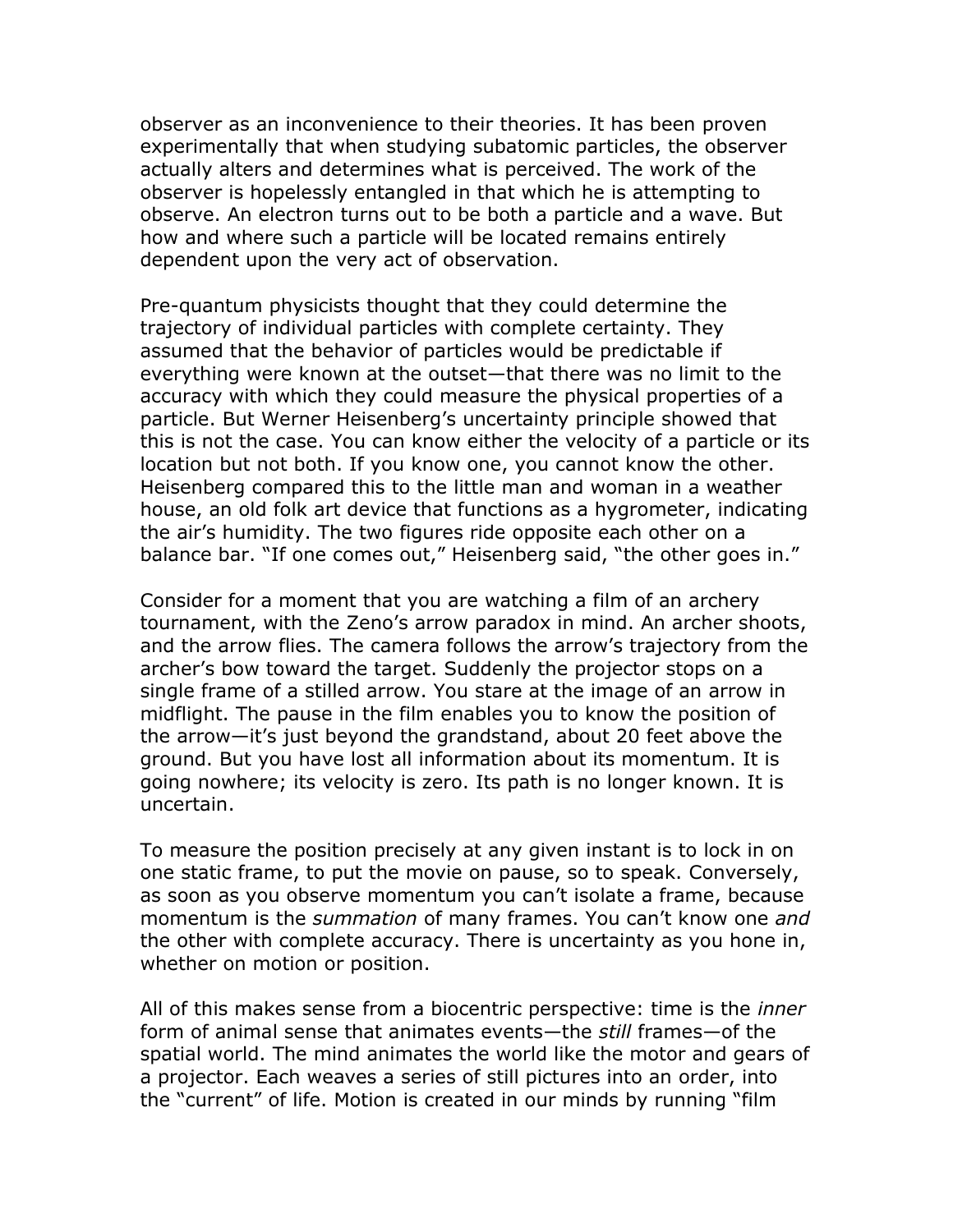observer as an inconvenience to their theories. It has been proven experimentally that when studying subatomic particles, the observer actually alters and determines what is perceived. The work of the observer is hopelessly entangled in that which he is attempting to observe. An electron turns out to be both a particle and a wave. But how and where such a particle will be located remains entirely dependent upon the very act of observation.

Pre-quantum physicists thought that they could determine the trajectory of individual particles with complete certainty. They assumed that the behavior of particles would be predictable if everything were known at the outset—that there was no limit to the accuracy with which they could measure the physical properties of a particle. But Werner Heisenberg's uncertainty principle showed that this is not the case. You can know either the velocity of a particle or its location but not both. If you know one, you cannot know the other. Heisenberg compared this to the little man and woman in a weather house, an old folk art device that functions as a hygrometer, indicating the air's humidity. The two figures ride opposite each other on a balance bar. "If one comes out," Heisenberg said, "the other goes in."

Consider for a moment that you are watching a film of an archery tournament, with the Zeno's arrow paradox in mind. An archer shoots, and the arrow flies. The camera follows the arrow's trajectory from the archer's bow toward the target. Suddenly the projector stops on a single frame of a stilled arrow. You stare at the image of an arrow in midflight. The pause in the film enables you to know the position of the arrow—it's just beyond the grandstand, about 20 feet above the ground. But you have lost all information about its momentum. It is going nowhere; its velocity is zero. Its path is no longer known. It is uncertain.

To measure the position precisely at any given instant is to lock in on one static frame, to put the movie on pause, so to speak. Conversely, as soon as you observe momentum you can't isolate a frame, because momentum is the *summation* of many frames. You can't know one *and* the other with complete accuracy. There is uncertainty as you hone in, whether on motion or position.

All of this makes sense from a biocentric perspective: time is the *inner* form of animal sense that animates events—the *still* frames—of the spatial world. The mind animates the world like the motor and gears of a projector. Each weaves a series of still pictures into an order, into the "current" of life. Motion is created in our minds by running "film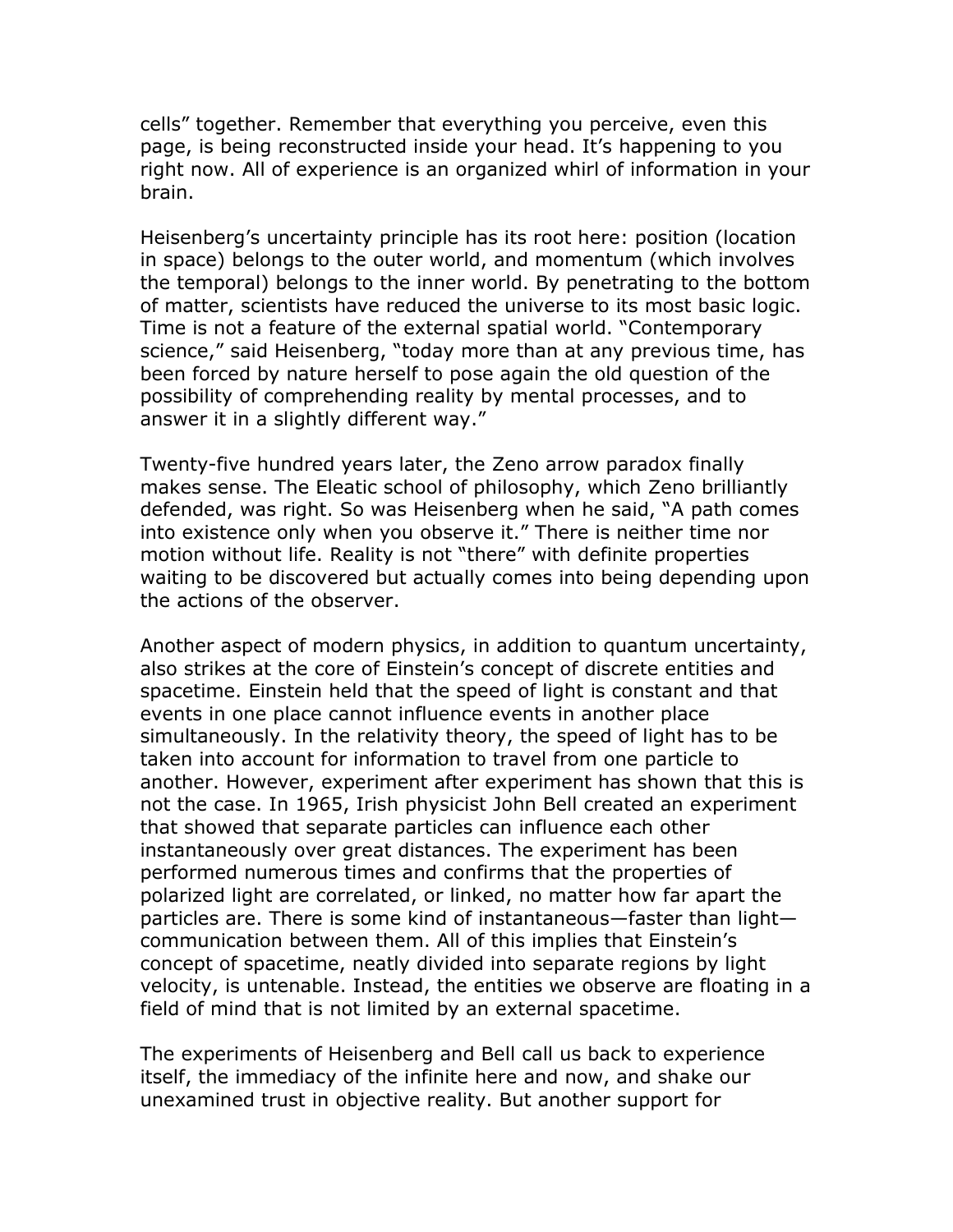cells" together. Remember that everything you perceive, even this page, is being reconstructed inside your head. It's happening to you right now. All of experience is an organized whirl of information in your brain.

Heisenberg's uncertainty principle has its root here: position (location in space) belongs to the outer world, and momentum (which involves the temporal) belongs to the inner world. By penetrating to the bottom of matter, scientists have reduced the universe to its most basic logic. Time is not a feature of the external spatial world. "Contemporary science," said Heisenberg, "today more than at any previous time, has been forced by nature herself to pose again the old question of the possibility of comprehending reality by mental processes, and to answer it in a slightly different way."

Twenty-five hundred years later, the Zeno arrow paradox finally makes sense. The Eleatic school of philosophy, which Zeno brilliantly defended, was right. So was Heisenberg when he said, "A path comes into existence only when you observe it." There is neither time nor motion without life. Reality is not "there" with definite properties waiting to be discovered but actually comes into being depending upon the actions of the observer.

Another aspect of modern physics, in addition to quantum uncertainty, also strikes at the core of Einstein's concept of discrete entities and spacetime. Einstein held that the speed of light is constant and that events in one place cannot influence events in another place simultaneously. In the relativity theory, the speed of light has to be taken into account for information to travel from one particle to another. However, experiment after experiment has shown that this is not the case. In 1965, Irish physicist John Bell created an experiment that showed that separate particles can influence each other instantaneously over great distances. The experiment has been performed numerous times and confirms that the properties of polarized light are correlated, or linked, no matter how far apart the particles are. There is some kind of instantaneous—faster than light communication between them. All of this implies that Einstein's concept of spacetime, neatly divided into separate regions by light velocity, is untenable. Instead, the entities we observe are floating in a field of mind that is not limited by an external spacetime.

The experiments of Heisenberg and Bell call us back to experience itself, the immediacy of the infinite here and now, and shake our unexamined trust in objective reality. But another support for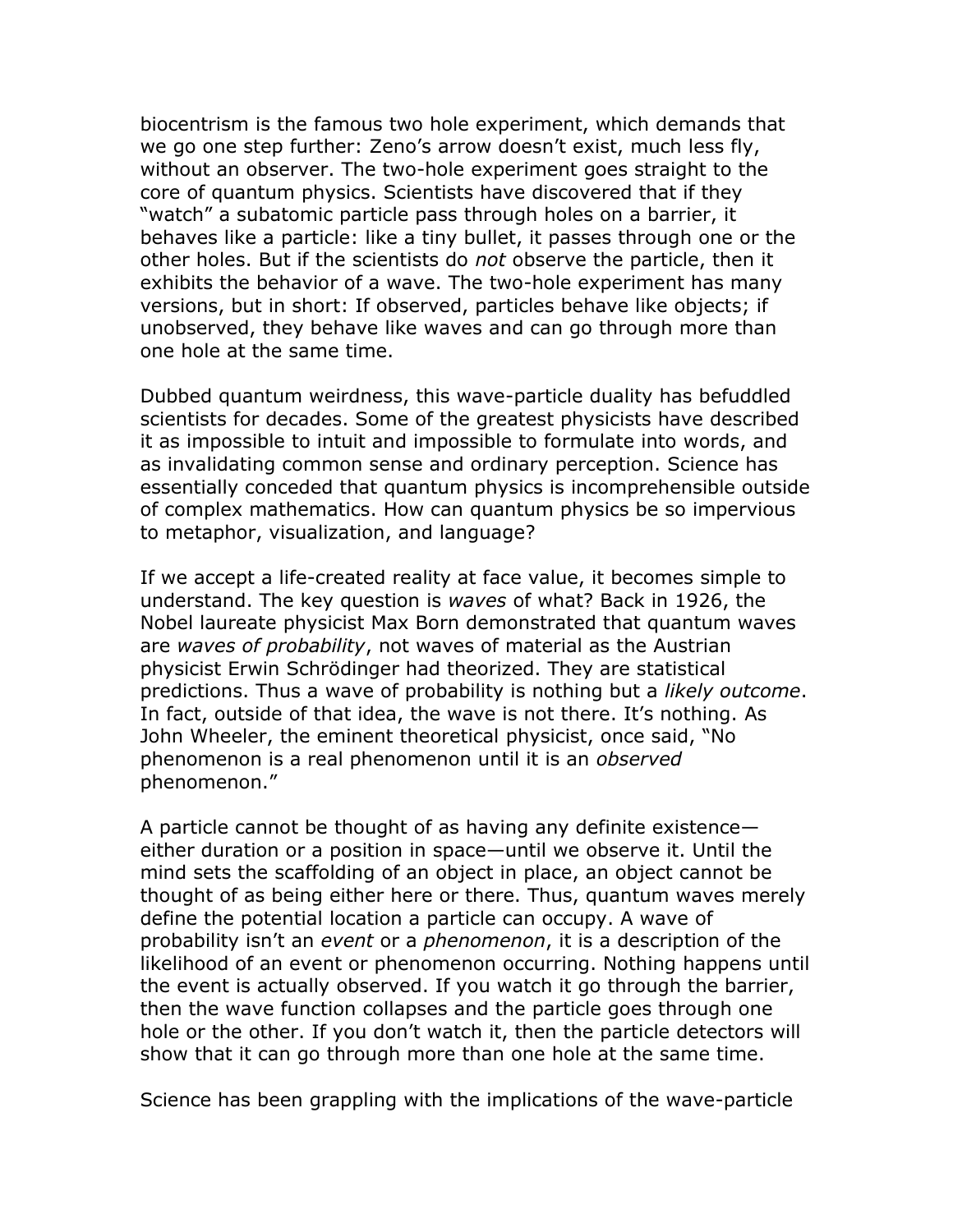biocentrism is the famous two hole experiment, which demands that we go one step further: Zeno's arrow doesn't exist, much less fly, without an observer. The two-hole experiment goes straight to the core of quantum physics. Scientists have discovered that if they "watch" a subatomic particle pass through holes on a barrier, it behaves like a particle: like a tiny bullet, it passes through one or the other holes. But if the scientists do *not* observe the particle, then it exhibits the behavior of a wave. The two-hole experiment has many versions, but in short: If observed, particles behave like objects; if unobserved, they behave like waves and can go through more than one hole at the same time.

Dubbed quantum weirdness, this wave-particle duality has befuddled scientists for decades. Some of the greatest physicists have described it as impossible to intuit and impossible to formulate into words, and as invalidating common sense and ordinary perception. Science has essentially conceded that quantum physics is incomprehensible outside of complex mathematics. How can quantum physics be so impervious to metaphor, visualization, and language?

If we accept a life-created reality at face value, it becomes simple to understand. The key question is *waves* of what? Back in 1926, the Nobel laureate physicist Max Born demonstrated that quantum waves are *waves of probability*, not waves of material as the Austrian physicist Erwin Schrödinger had theorized. They are statistical predictions. Thus a wave of probability is nothing but a *likely outcome*. In fact, outside of that idea, the wave is not there. It's nothing. As John Wheeler, the eminent theoretical physicist, once said, "No phenomenon is a real phenomenon until it is an *observed* phenomenon."

A particle cannot be thought of as having any definite existence either duration or a position in space—until we observe it. Until the mind sets the scaffolding of an object in place, an object cannot be thought of as being either here or there. Thus, quantum waves merely define the potential location a particle can occupy. A wave of probability isn't an *event* or a *phenomenon*, it is a description of the likelihood of an event or phenomenon occurring. Nothing happens until the event is actually observed. If you watch it go through the barrier, then the wave function collapses and the particle goes through one hole or the other. If you don't watch it, then the particle detectors will show that it can go through more than one hole at the same time.

Science has been grappling with the implications of the wave-particle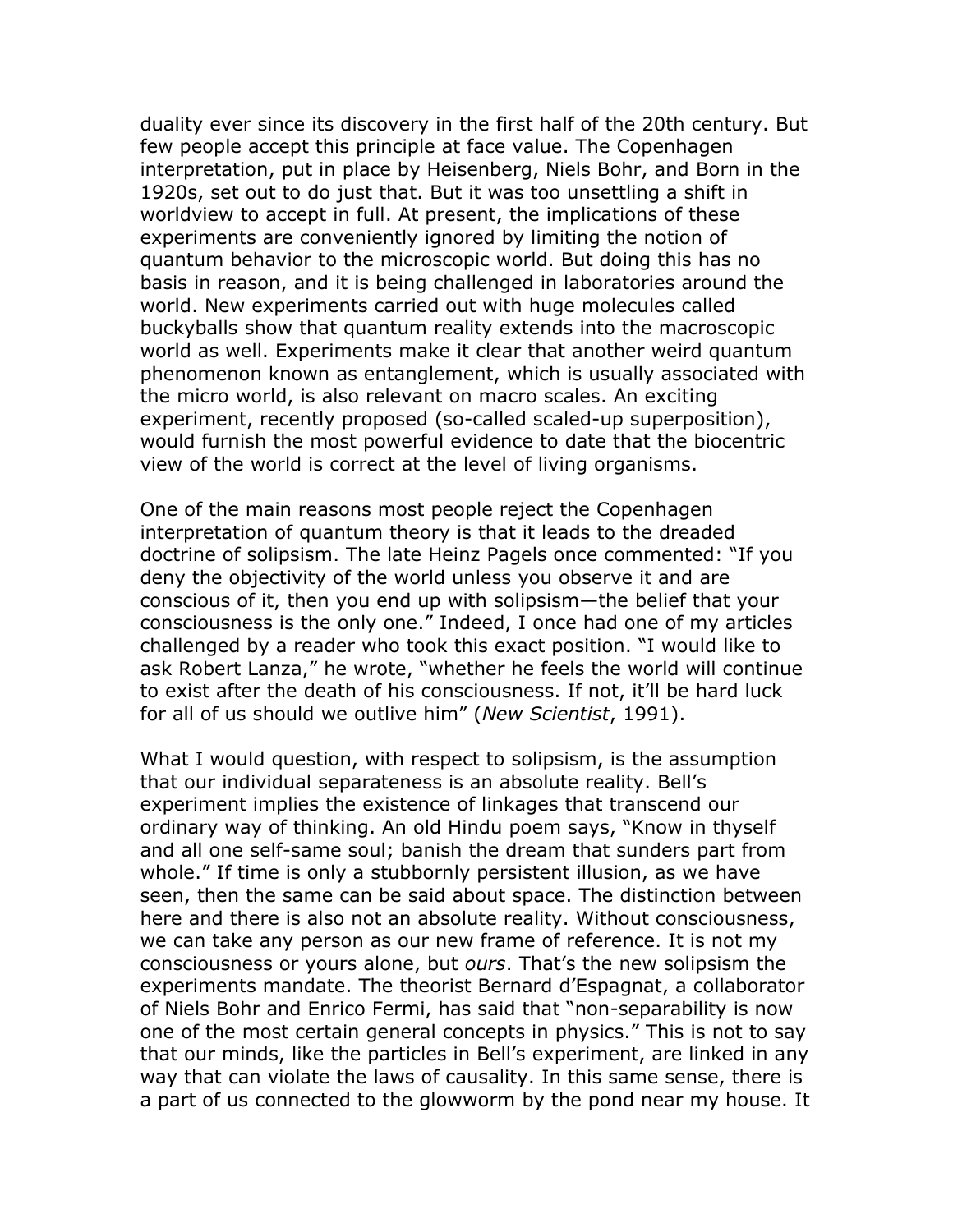duality ever since its discovery in the first half of the 20th century. But few people accept this principle at face value. The Copenhagen interpretation, put in place by Heisenberg, Niels Bohr, and Born in the 1920s, set out to do just that. But it was too unsettling a shift in worldview to accept in full. At present, the implications of these experiments are conveniently ignored by limiting the notion of quantum behavior to the microscopic world. But doing this has no basis in reason, and it is being challenged in laboratories around the world. New experiments carried out with huge molecules called buckyballs show that quantum reality extends into the macroscopic world as well. Experiments make it clear that another weird quantum phenomenon known as entanglement, which is usually associated with the micro world, is also relevant on macro scales. An exciting experiment, recently proposed (so-called scaled-up superposition), would furnish the most powerful evidence to date that the biocentric view of the world is correct at the level of living organisms.

One of the main reasons most people reject the Copenhagen interpretation of quantum theory is that it leads to the dreaded doctrine of solipsism. The late Heinz Pagels once commented: "If you deny the objectivity of the world unless you observe it and are conscious of it, then you end up with solipsism—the belief that your consciousness is the only one." Indeed, I once had one of my articles challenged by a reader who took this exact position. "I would like to ask Robert Lanza," he wrote, "whether he feels the world will continue to exist after the death of his consciousness. If not, it'll be hard luck for all of us should we outlive him" (*New Scientist*, 1991).

What I would question, with respect to solipsism, is the assumption that our individual separateness is an absolute reality. Bell's experiment implies the existence of linkages that transcend our ordinary way of thinking. An old Hindu poem says, "Know in thyself and all one self-same soul; banish the dream that sunders part from whole." If time is only a stubbornly persistent illusion, as we have seen, then the same can be said about space. The distinction between here and there is also not an absolute reality. Without consciousness, we can take any person as our new frame of reference. It is not my consciousness or yours alone, but *ours*. That's the new solipsism the experiments mandate. The theorist Bernard d'Espagnat, a collaborator of Niels Bohr and Enrico Fermi, has said that "non-separability is now one of the most certain general concepts in physics." This is not to say that our minds, like the particles in Bell's experiment, are linked in any way that can violate the laws of causality. In this same sense, there is a part of us connected to the glowworm by the pond near my house. It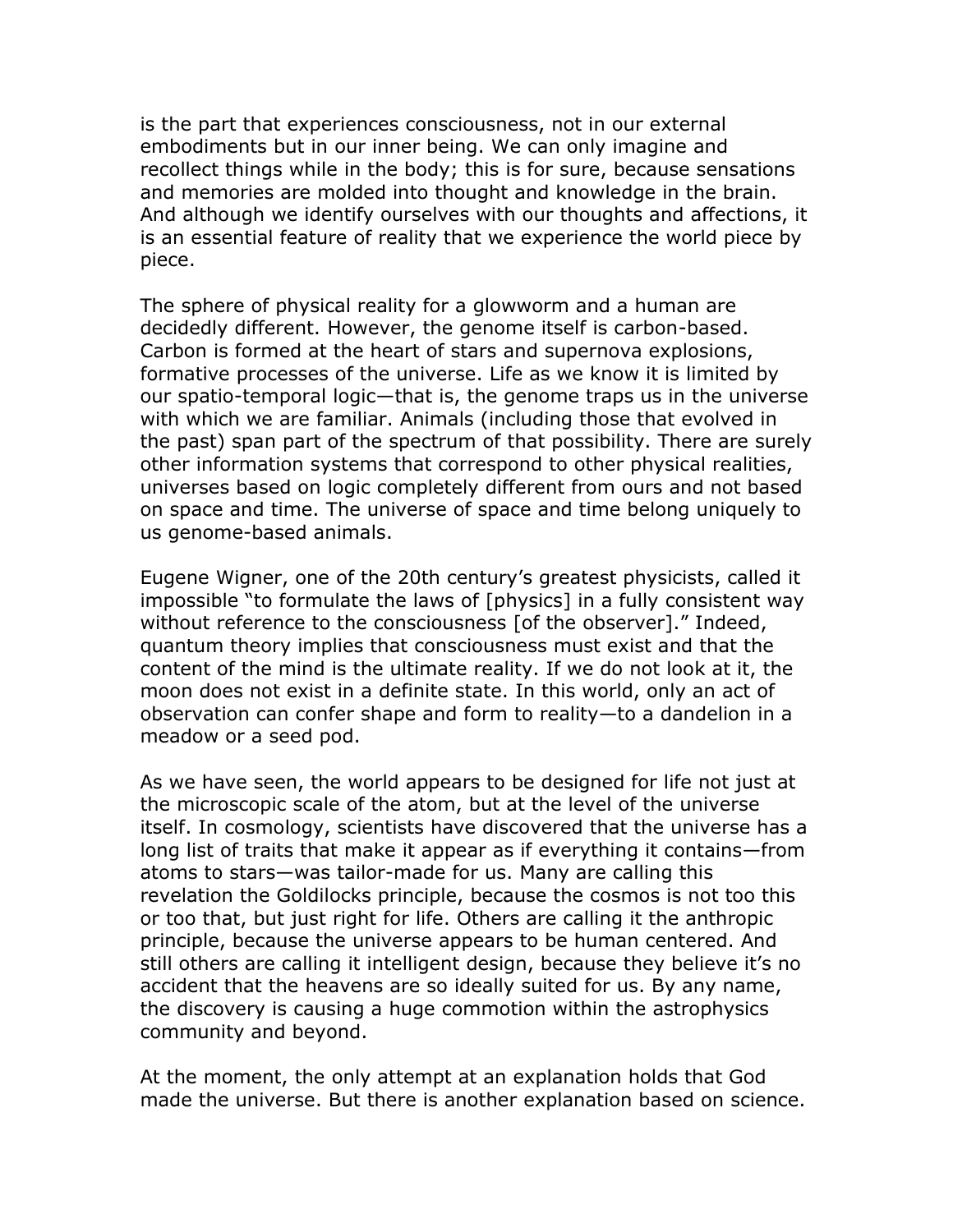is the part that experiences consciousness, not in our external embodiments but in our inner being. We can only imagine and recollect things while in the body; this is for sure, because sensations and memories are molded into thought and knowledge in the brain. And although we identify ourselves with our thoughts and affections, it is an essential feature of reality that we experience the world piece by piece.

The sphere of physical reality for a glowworm and a human are decidedly different. However, the genome itself is carbon-based. Carbon is formed at the heart of stars and supernova explosions, formative processes of the universe. Life as we know it is limited by our spatio-temporal logic—that is, the genome traps us in the universe with which we are familiar. Animals (including those that evolved in the past) span part of the spectrum of that possibility. There are surely other information systems that correspond to other physical realities, universes based on logic completely different from ours and not based on space and time. The universe of space and time belong uniquely to us genome-based animals.

Eugene Wigner, one of the 20th century's greatest physicists, called it impossible "to formulate the laws of [physics] in a fully consistent way without reference to the consciousness [of the observer]." Indeed, quantum theory implies that consciousness must exist and that the content of the mind is the ultimate reality. If we do not look at it, the moon does not exist in a definite state. In this world, only an act of observation can confer shape and form to reality—to a dandelion in a meadow or a seed pod.

As we have seen, the world appears to be designed for life not just at the microscopic scale of the atom, but at the level of the universe itself. In cosmology, scientists have discovered that the universe has a long list of traits that make it appear as if everything it contains—from atoms to stars—was tailor-made for us. Many are calling this revelation the Goldilocks principle, because the cosmos is not too this or too that, but just right for life. Others are calling it the anthropic principle, because the universe appears to be human centered. And still others are calling it intelligent design, because they believe it's no accident that the heavens are so ideally suited for us. By any name, the discovery is causing a huge commotion within the astrophysics community and beyond.

At the moment, the only attempt at an explanation holds that God made the universe. But there is another explanation based on science.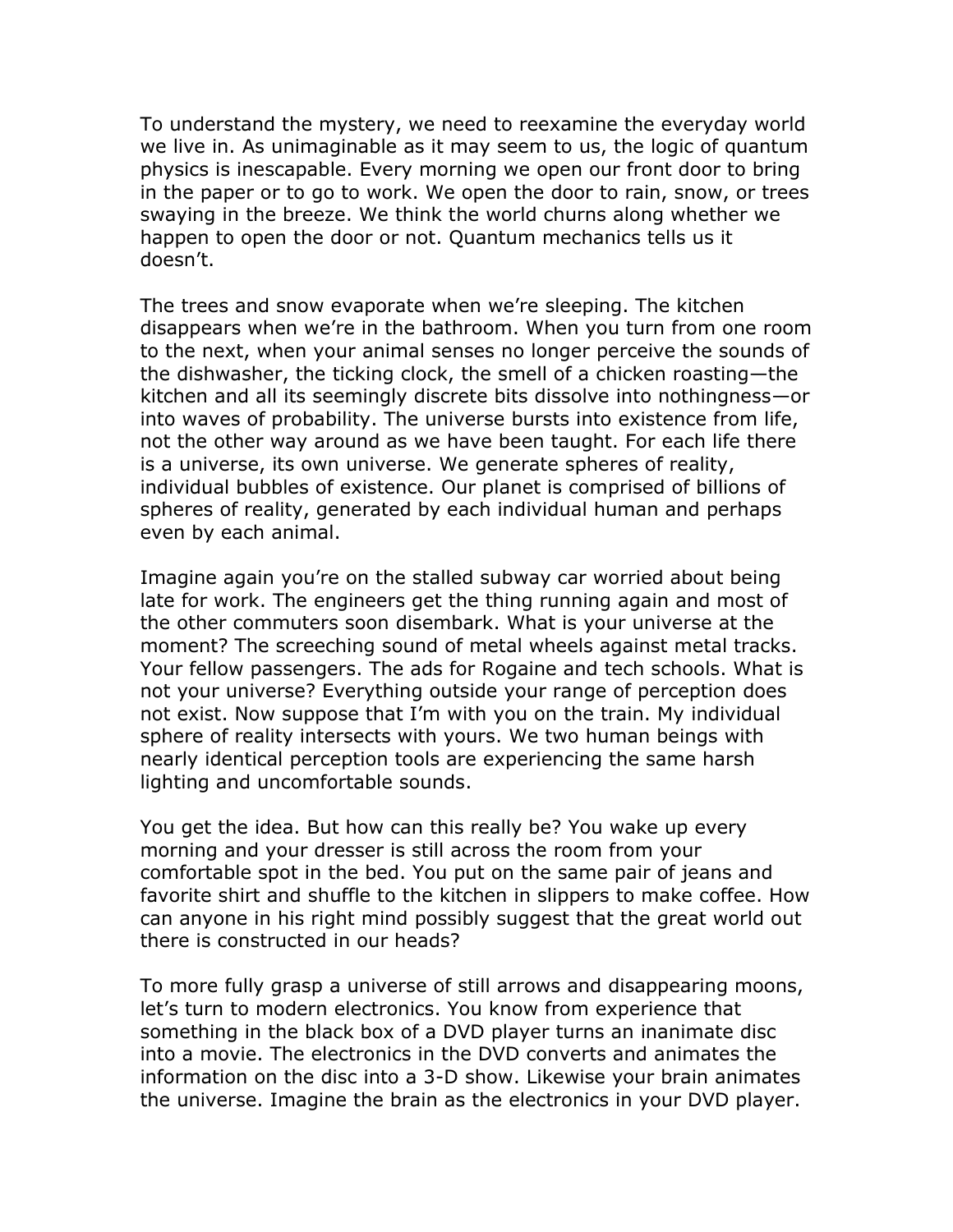To understand the mystery, we need to reexamine the everyday world we live in. As unimaginable as it may seem to us, the logic of quantum physics is inescapable. Every morning we open our front door to bring in the paper or to go to work. We open the door to rain, snow, or trees swaying in the breeze. We think the world churns along whether we happen to open the door or not. Quantum mechanics tells us it doesn't.

The trees and snow evaporate when we're sleeping. The kitchen disappears when we're in the bathroom. When you turn from one room to the next, when your animal senses no longer perceive the sounds of the dishwasher, the ticking clock, the smell of a chicken roasting—the kitchen and all its seemingly discrete bits dissolve into nothingness—or into waves of probability. The universe bursts into existence from life, not the other way around as we have been taught. For each life there is a universe, its own universe. We generate spheres of reality, individual bubbles of existence. Our planet is comprised of billions of spheres of reality, generated by each individual human and perhaps even by each animal.

Imagine again you're on the stalled subway car worried about being late for work. The engineers get the thing running again and most of the other commuters soon disembark. What is your universe at the moment? The screeching sound of metal wheels against metal tracks. Your fellow passengers. The ads for Rogaine and tech schools. What is not your universe? Everything outside your range of perception does not exist. Now suppose that I'm with you on the train. My individual sphere of reality intersects with yours. We two human beings with nearly identical perception tools are experiencing the same harsh lighting and uncomfortable sounds.

You get the idea. But how can this really be? You wake up every morning and your dresser is still across the room from your comfortable spot in the bed. You put on the same pair of jeans and favorite shirt and shuffle to the kitchen in slippers to make coffee. How can anyone in his right mind possibly suggest that the great world out there is constructed in our heads?

To more fully grasp a universe of still arrows and disappearing moons, let's turn to modern electronics. You know from experience that something in the black box of a DVD player turns an inanimate disc into a movie. The electronics in the DVD converts and animates the information on the disc into a 3-D show. Likewise your brain animates the universe. Imagine the brain as the electronics in your DVD player.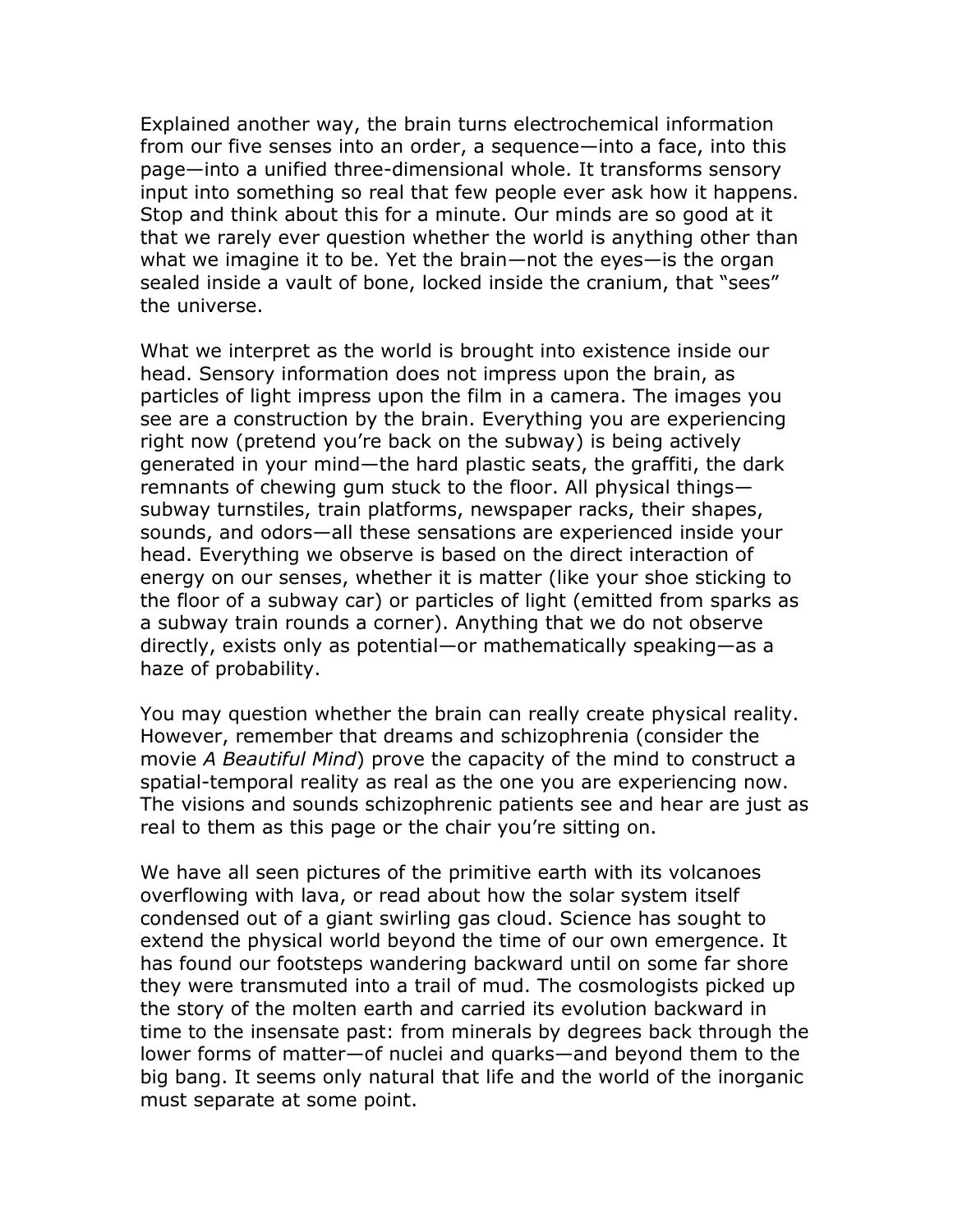Explained another way, the brain turns electrochemical information from our five senses into an order, a sequence—into a face, into this page—into a unified three-dimensional whole. It transforms sensory input into something so real that few people ever ask how it happens. Stop and think about this for a minute. Our minds are so good at it that we rarely ever question whether the world is anything other than what we imagine it to be. Yet the brain—not the eyes—is the organ sealed inside a vault of bone, locked inside the cranium, that "sees" the universe.

What we interpret as the world is brought into existence inside our head. Sensory information does not impress upon the brain, as particles of light impress upon the film in a camera. The images you see are a construction by the brain. Everything you are experiencing right now (pretend you're back on the subway) is being actively generated in your mind—the hard plastic seats, the graffiti, the dark remnants of chewing gum stuck to the floor. All physical things subway turnstiles, train platforms, newspaper racks, their shapes, sounds, and odors—all these sensations are experienced inside your head. Everything we observe is based on the direct interaction of energy on our senses, whether it is matter (like your shoe sticking to the floor of a subway car) or particles of light (emitted from sparks as a subway train rounds a corner). Anything that we do not observe directly, exists only as potential—or mathematically speaking—as a haze of probability.

You may question whether the brain can really create physical reality. However, remember that dreams and schizophrenia (consider the movie *A Beautiful Mind*) prove the capacity of the mind to construct a spatial-temporal reality as real as the one you are experiencing now. The visions and sounds schizophrenic patients see and hear are just as real to them as this page or the chair you're sitting on.

We have all seen pictures of the primitive earth with its volcanoes overflowing with lava, or read about how the solar system itself condensed out of a giant swirling gas cloud. Science has sought to extend the physical world beyond the time of our own emergence. It has found our footsteps wandering backward until on some far shore they were transmuted into a trail of mud. The cosmologists picked up the story of the molten earth and carried its evolution backward in time to the insensate past: from minerals by degrees back through the lower forms of matter—of nuclei and quarks—and beyond them to the big bang. It seems only natural that life and the world of the inorganic must separate at some point.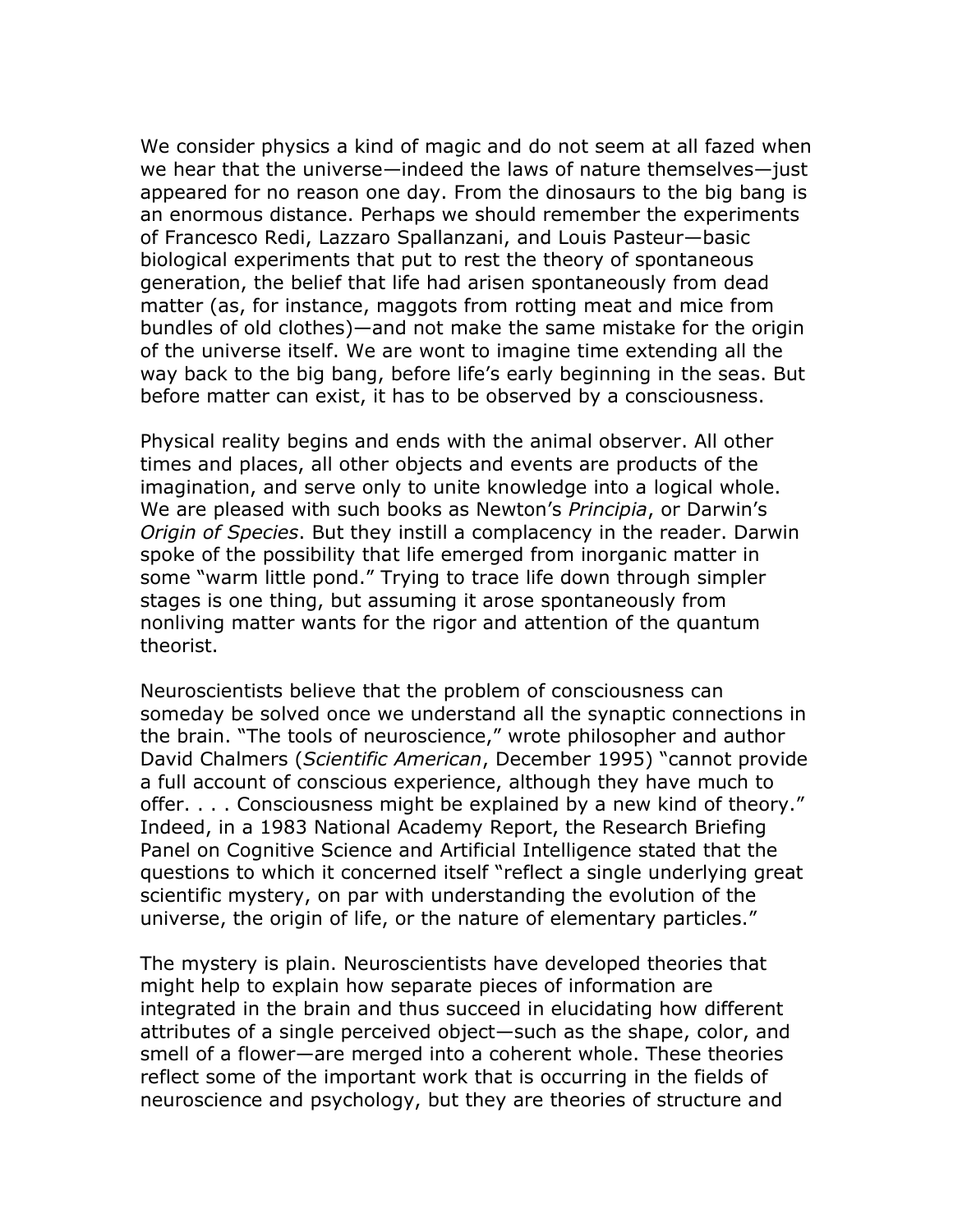We consider physics a kind of magic and do not seem at all fazed when we hear that the universe—indeed the laws of nature themselves—just appeared for no reason one day. From the dinosaurs to the big bang is an enormous distance. Perhaps we should remember the experiments of Francesco Redi, Lazzaro Spallanzani, and Louis Pasteur—basic biological experiments that put to rest the theory of spontaneous generation, the belief that life had arisen spontaneously from dead matter (as, for instance, maggots from rotting meat and mice from bundles of old clothes)—and not make the same mistake for the origin of the universe itself. We are wont to imagine time extending all the way back to the big bang, before life's early beginning in the seas. But before matter can exist, it has to be observed by a consciousness.

Physical reality begins and ends with the animal observer. All other times and places, all other objects and events are products of the imagination, and serve only to unite knowledge into a logical whole. We are pleased with such books as Newton's *Principia*, or Darwin's *Origin of Species*. But they instill a complacency in the reader. Darwin spoke of the possibility that life emerged from inorganic matter in some "warm little pond." Trying to trace life down through simpler stages is one thing, but assuming it arose spontaneously from nonliving matter wants for the rigor and attention of the quantum theorist.

Neuroscientists believe that the problem of consciousness can someday be solved once we understand all the synaptic connections in the brain. "The tools of neuroscience," wrote philosopher and author David Chalmers (*Scientific American*, December 1995) "cannot provide a full account of conscious experience, although they have much to offer. . . . Consciousness might be explained by a new kind of theory." Indeed, in a 1983 National Academy Report, the Research Briefing Panel on Cognitive Science and Artificial Intelligence stated that the questions to which it concerned itself "reflect a single underlying great scientific mystery, on par with understanding the evolution of the universe, the origin of life, or the nature of elementary particles."

The mystery is plain. Neuroscientists have developed theories that might help to explain how separate pieces of information are integrated in the brain and thus succeed in elucidating how different attributes of a single perceived object—such as the shape, color, and smell of a flower—are merged into a coherent whole. These theories reflect some of the important work that is occurring in the fields of neuroscience and psychology, but they are theories of structure and